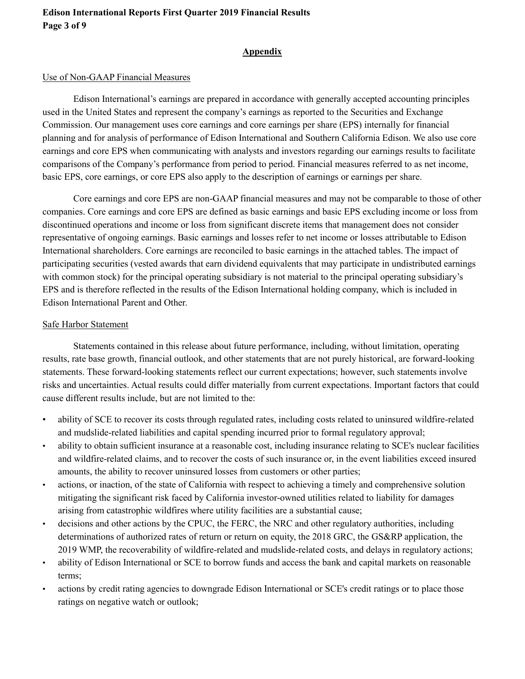#### **Edison International Reports First Quarter 2019 Financial Results Page 3 of 9**

#### **Appendix**

#### Use of Non-GAAP Financial Measures

Edison International's earnings are prepared in accordance with generally accepted accounting principles used in the United States and represent the company's earnings as reported to the Securities and Exchange Commission. Our management uses core earnings and core earnings per share (EPS) internally for financial planning and for analysis of performance of Edison International and Southern California Edison. We also use core earnings and core EPS when communicating with analysts and investors regarding our earnings results to facilitate comparisons of the Company's performance from period to period. Financial measures referred to as net income, basic EPS, core earnings, or core EPS also apply to the description of earnings or earnings per share.

Core earnings and core EPS are non-GAAP financial measures and may not be comparable to those of other companies. Core earnings and core EPS are defined as basic earnings and basic EPS excluding income or loss from discontinued operations and income or loss from significant discrete items that management does not consider representative of ongoing earnings. Basic earnings and losses refer to net income or losses attributable to Edison International shareholders. Core earnings are reconciled to basic earnings in the attached tables. The impact of participating securities (vested awards that earn dividend equivalents that may participate in undistributed earnings with common stock) for the principal operating subsidiary is not material to the principal operating subsidiary's EPS and is therefore reflected in the results of the Edison International holding company, which is included in Edison International Parent and Other.

#### Safe Harbor Statement

Statements contained in this release about future performance, including, without limitation, operating results, rate base growth, financial outlook, and other statements that are not purely historical, are forward-looking statements. These forward-looking statements reflect our current expectations; however, such statements involve risks and uncertainties. Actual results could differ materially from current expectations. Important factors that could cause different results include, but are not limited to the:

- ability of SCE to recover its costs through regulated rates, including costs related to uninsured wildfire-related and mudslide-related liabilities and capital spending incurred prior to formal regulatory approval;
- ability to obtain sufficient insurance at a reasonable cost, including insurance relating to SCE's nuclear facilities and wildfire-related claims, and to recover the costs of such insurance or, in the event liabilities exceed insured amounts, the ability to recover uninsured losses from customers or other parties;
- actions, or inaction, of the state of California with respect to achieving a timely and comprehensive solution mitigating the significant risk faced by California investor-owned utilities related to liability for damages arising from catastrophic wildfires where utility facilities are a substantial cause;
- decisions and other actions by the CPUC, the FERC, the NRC and other regulatory authorities, including determinations of authorized rates of return or return on equity, the 2018 GRC, the GS&RP application, the 2019 WMP, the recoverability of wildfire-related and mudslide-related costs, and delays in regulatory actions;
- ability of Edison International or SCE to borrow funds and access the bank and capital markets on reasonable terms;
- actions by credit rating agencies to downgrade Edison International or SCE's credit ratings or to place those ratings on negative watch or outlook;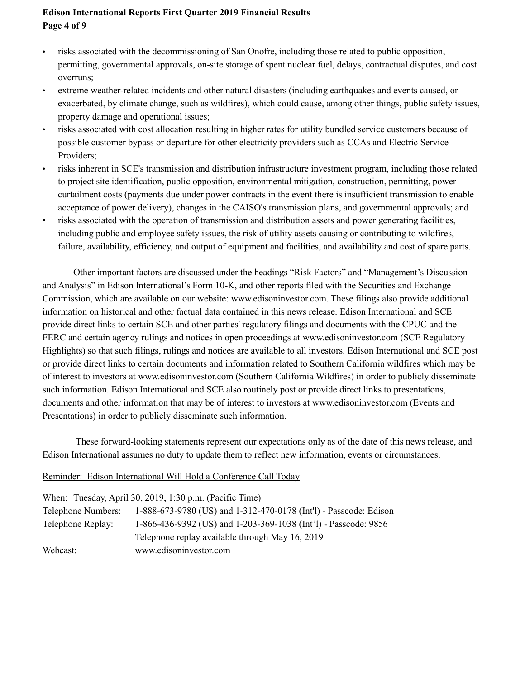### **Edison International Reports First Quarter 2019 Financial Results Page 4 of 9**

- risks associated with the decommissioning of San Onofre, including those related to public opposition, permitting, governmental approvals, on-site storage of spent nuclear fuel, delays, contractual disputes, and cost overruns;
- extreme weather-related incidents and other natural disasters (including earthquakes and events caused, or exacerbated, by climate change, such as wildfires), which could cause, among other things, public safety issues, property damage and operational issues;
- risks associated with cost allocation resulting in higher rates for utility bundled service customers because of possible customer bypass or departure for other electricity providers such as CCAs and Electric Service Providers;
- risks inherent in SCE's transmission and distribution infrastructure investment program, including those related to project site identification, public opposition, environmental mitigation, construction, permitting, power curtailment costs (payments due under power contracts in the event there is insufficient transmission to enable acceptance of power delivery), changes in the CAISO's transmission plans, and governmental approvals; and
- risks associated with the operation of transmission and distribution assets and power generating facilities, including public and employee safety issues, the risk of utility assets causing or contributing to wildfires, failure, availability, efficiency, and output of equipment and facilities, and availability and cost of spare parts.

Other important factors are discussed under the headings "Risk Factors" and "Management's Discussion and Analysis" in Edison International's Form 10-K, and other reports filed with the Securities and Exchange Commission, which are available on our website: www.edisoninvestor.com. These filings also provide additional information on historical and other factual data contained in this news release. Edison International and SCE provide direct links to certain SCE and other parties' regulatory filings and documents with the CPUC and the FERC and certain agency rulings and notices in open proceedings at www.edisoninvestor.com (SCE Regulatory Highlights) so that such filings, rulings and notices are available to all investors. Edison International and SCE post or provide direct links to certain documents and information related to Southern California wildfires which may be of interest to investors at www.edisoninvestor.com (Southern California Wildfires) in order to publicly disseminate such information. Edison International and SCE also routinely post or provide direct links to presentations, documents and other information that may be of interest to investors at www.edisoninvestor.com (Events and Presentations) in order to publicly disseminate such information.

These forward-looking statements represent our expectations only as of the date of this news release, and Edison International assumes no duty to update them to reflect new information, events or circumstances.

#### Reminder: Edison International Will Hold a Conference Call Today

|                    | When: Tuesday, April 30, 2019, 1:30 p.m. (Pacific Time)           |
|--------------------|-------------------------------------------------------------------|
| Telephone Numbers: | 1-888-673-9780 (US) and 1-312-470-0178 (Int'l) - Passcode: Edison |
| Telephone Replay:  | 1-866-436-9392 (US) and 1-203-369-1038 (Int'l) - Passcode: 9856   |
|                    | Telephone replay available through May 16, 2019                   |
| Webcast:           | www.edisoninvestor.com                                            |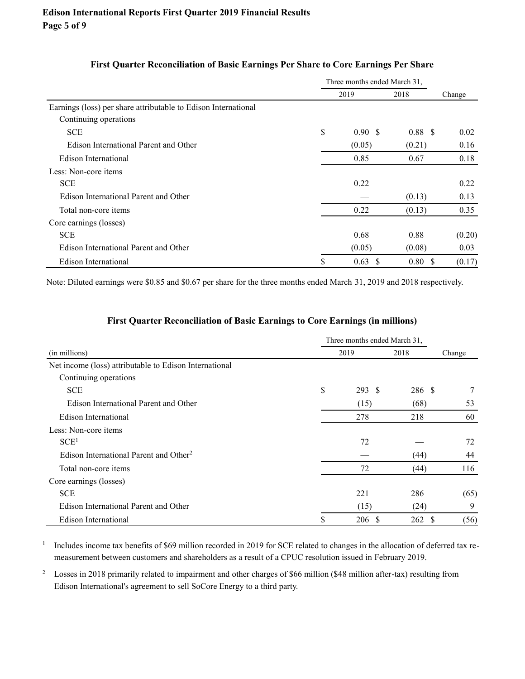|                                                                | Three months ended March 31, |                   |        |  |
|----------------------------------------------------------------|------------------------------|-------------------|--------|--|
|                                                                | 2019                         | 2018              | Change |  |
| Earnings (loss) per share attributable to Edison International |                              |                   |        |  |
| Continuing operations                                          |                              |                   |        |  |
| <b>SCE</b>                                                     | \$<br>0.90 S                 | 0.88S             | 0.02   |  |
| Edison International Parent and Other                          | (0.05)                       | (0.21)            | 0.16   |  |
| Edison International                                           | 0.85                         | 0.67              | 0.18   |  |
| Less: Non-core items                                           |                              |                   |        |  |
| <b>SCE</b>                                                     | 0.22                         |                   | 0.22   |  |
| Edison International Parent and Other                          |                              | (0.13)            | 0.13   |  |
| Total non-core items                                           | 0.22                         | (0.13)            | 0.35   |  |
| Core earnings (losses)                                         |                              |                   |        |  |
| <b>SCE</b>                                                     | 0.68                         | 0.88              | (0.20) |  |
| Edison International Parent and Other                          | (0.05)                       | (0.08)            | 0.03   |  |
| Edison International                                           | \$<br>0.63<br>-S             | 0.80 <sup>5</sup> | (0.17) |  |

#### **First Quarter Reconciliation of Basic Earnings Per Share to Core Earnings Per Share**

Note: Diluted earnings were \$0.85 and \$0.67 per share for the three months ended March 31, 2019 and 2018 respectively.

|                                                        | Three months ended March 31. |           |           |        |  |
|--------------------------------------------------------|------------------------------|-----------|-----------|--------|--|
| (in millions)                                          |                              | 2019      |           | Change |  |
| Net income (loss) attributable to Edison International |                              |           |           |        |  |
| Continuing operations                                  |                              |           |           |        |  |
| <b>SCE</b>                                             | \$                           | 293S      | 286 \$    | 7      |  |
| Edison International Parent and Other                  |                              | (15)      | (68)      | 53     |  |
| Edison International                                   |                              | 278       | 218       | 60     |  |
| Less: Non-core items                                   |                              |           |           |        |  |
| SCE <sup>1</sup>                                       |                              | 72        |           | 72     |  |
| Edison International Parent and Other <sup>2</sup>     |                              |           | (44)      | 44     |  |
| Total non-core items                                   |                              | 72        | (44)      | 116    |  |
| Core earnings (losses)                                 |                              |           |           |        |  |
| <b>SCE</b>                                             |                              | 221       | 286       | (65)   |  |
| Edison International Parent and Other                  |                              | (15)      | (24)      | 9      |  |
| Edison International                                   | \$                           | 206<br>-S | 262<br>-S | (56)   |  |

#### **First Quarter Reconciliation of Basic Earnings to Core Earnings (in millions)**

1 Includes income tax benefits of \$69 million recorded in 2019 for SCE related to changes in the allocation of deferred tax remeasurement between customers and shareholders as a result of a CPUC resolution issued in February 2019.

<sup>2</sup> Losses in 2018 primarily related to impairment and other charges of \$66 million (\$48 million after-tax) resulting from Edison International's agreement to sell SoCore Energy to a third party.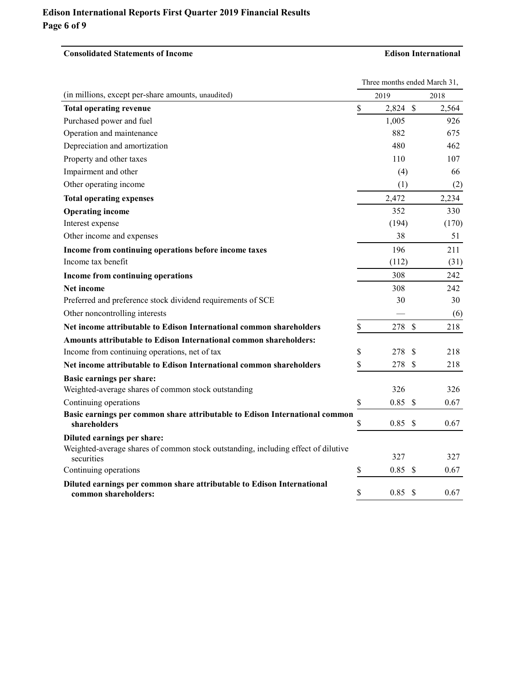## **Edison International Reports First Quarter 2019 Financial Results Page 6 of 9**

| <b>Consolidated Statements of Income</b>                                                        |             | <b>Edison International</b>  |               |       |  |
|-------------------------------------------------------------------------------------------------|-------------|------------------------------|---------------|-------|--|
|                                                                                                 |             | Three months ended March 31, |               |       |  |
| (in millions, except per-share amounts, unaudited)                                              |             | 2019                         |               | 2018  |  |
| <b>Total operating revenue</b>                                                                  | $\mathbb S$ | 2,824 \$                     |               | 2,564 |  |
| Purchased power and fuel                                                                        |             | 1,005                        |               | 926   |  |
| Operation and maintenance                                                                       |             | 882                          |               | 675   |  |
| Depreciation and amortization                                                                   |             | 480                          |               | 462   |  |
| Property and other taxes                                                                        |             | 110                          |               | 107   |  |
| Impairment and other                                                                            |             | (4)                          |               | 66    |  |
| Other operating income                                                                          |             | (1)                          |               | (2)   |  |
| <b>Total operating expenses</b>                                                                 |             | 2,472                        |               | 2,234 |  |
| <b>Operating income</b>                                                                         |             | 352                          |               | 330   |  |
| Interest expense                                                                                |             | (194)                        |               | (170) |  |
| Other income and expenses                                                                       |             | 38                           |               | 51    |  |
| Income from continuing operations before income taxes                                           |             | 196                          |               | 211   |  |
| Income tax benefit                                                                              |             | (112)                        |               | (31)  |  |
| Income from continuing operations                                                               |             | 308                          |               | 242   |  |
| <b>Net income</b>                                                                               |             | 308                          |               | 242   |  |
| Preferred and preference stock dividend requirements of SCE                                     |             | 30                           |               | 30    |  |
| Other noncontrolling interests                                                                  |             |                              |               | (6)   |  |
| Net income attributable to Edison International common shareholders                             | \$          | 278                          | $\mathcal{S}$ | 218   |  |
| Amounts attributable to Edison International common shareholders:                               |             |                              |               |       |  |
| Income from continuing operations, net of tax                                                   | $\mathbb S$ | 278                          | <sup>\$</sup> | 218   |  |
| Net income attributable to Edison International common shareholders                             | \$          | 278                          | $\mathcal{S}$ | 218   |  |
| Basic earnings per share:                                                                       |             |                              |               |       |  |
| Weighted-average shares of common stock outstanding                                             |             | 326                          |               | 326   |  |
| Continuing operations                                                                           | \$          | 0.85                         | <sup>\$</sup> | 0.67  |  |
| Basic earnings per common share attributable to Edison International common<br>shareholders     | \$          | 0.85                         | <sup>\$</sup> | 0.67  |  |
| Diluted earnings per share:                                                                     |             |                              |               |       |  |
| Weighted-average shares of common stock outstanding, including effect of dilutive<br>securities |             | 327                          |               | 327   |  |
| Continuing operations                                                                           | \$          | 0.85                         | <sup>\$</sup> | 0.67  |  |
| Diluted earnings per common share attributable to Edison International                          |             |                              |               |       |  |

**common shareholders:** \$ 0.85 \$ 0.67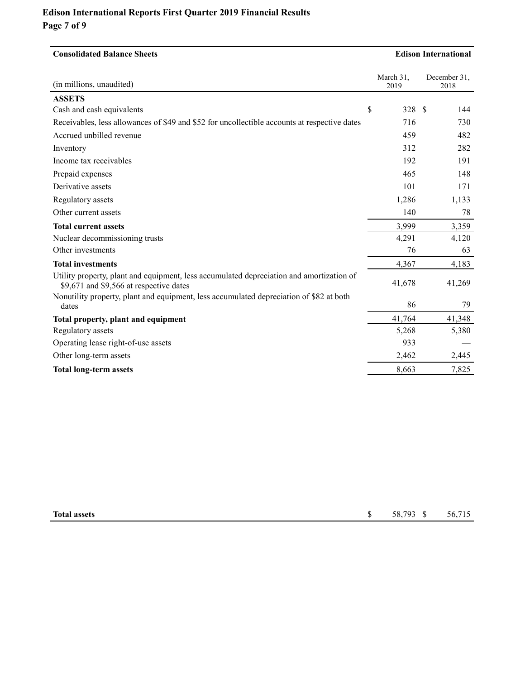## **Edison International Reports First Quarter 2019 Financial Results Page 7 of 9**

| <b>Consolidated Balance Sheets</b>                                                                                                  |                   | <b>Edison International</b> |
|-------------------------------------------------------------------------------------------------------------------------------------|-------------------|-----------------------------|
| (in millions, unaudited)                                                                                                            | March 31.<br>2019 | December 31.<br>2018        |
| <b>ASSETS</b>                                                                                                                       |                   |                             |
| Cash and cash equivalents                                                                                                           | \$<br>328 \$      | 144                         |
| Receivables, less allowances of \$49 and \$52 for uncollectible accounts at respective dates                                        | 716               | 730                         |
| Accrued unbilled revenue                                                                                                            | 459               | 482                         |
| Inventory                                                                                                                           | 312               | 282                         |
| Income tax receivables                                                                                                              | 192               | 191                         |
| Prepaid expenses                                                                                                                    | 465               | 148                         |
| Derivative assets                                                                                                                   | 101               | 171                         |
| Regulatory assets                                                                                                                   | 1,286             | 1,133                       |
| Other current assets                                                                                                                | 140               | 78                          |
| <b>Total current assets</b>                                                                                                         | 3,999             | 3,359                       |
| Nuclear decommissioning trusts                                                                                                      | 4,291             | 4,120                       |
| Other investments                                                                                                                   | 76                | 63                          |
| <b>Total investments</b>                                                                                                            | 4,367             | 4,183                       |
| Utility property, plant and equipment, less accumulated depreciation and amortization of<br>\$9,671 and \$9,566 at respective dates | 41,678            | 41,269                      |
| Nonutility property, plant and equipment, less accumulated depreciation of \$82 at both<br>dates                                    | 86                | 79                          |
| Total property, plant and equipment                                                                                                 | 41,764            | 41,348                      |
| Regulatory assets                                                                                                                   | 5,268             | 5,380                       |
| Operating lease right-of-use assets                                                                                                 | 933               |                             |
| Other long-term assets                                                                                                              | 2,462             | 2,445                       |
| <b>Total long-term assets</b>                                                                                                       | 8,663             | 7,825                       |

| <b>Total assets</b> |  | 58,793<br>داء<br><u>)</u> | 56.715<br>56,715 |
|---------------------|--|---------------------------|------------------|
|---------------------|--|---------------------------|------------------|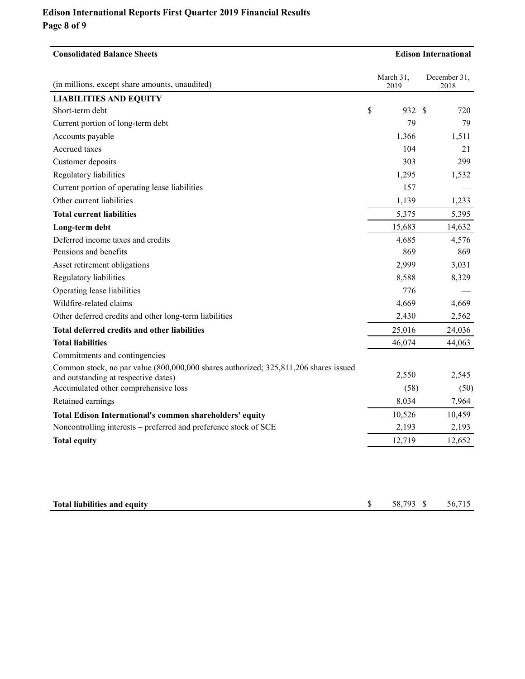# **Edison International Reports First Quarter 2019 Financial Results Page 8 of 9**

| <b>Consolidated Balance Sheets</b>                                                                                           |                   | <b>Edison International</b> |
|------------------------------------------------------------------------------------------------------------------------------|-------------------|-----------------------------|
| (in millions, except share amounts, unaudited)                                                                               | March 31,<br>2019 | December 31,<br>2018        |
| <b>LIABILITIES AND EQUITY</b>                                                                                                |                   |                             |
| Short-term debt                                                                                                              | \$<br>932 \$      | 720                         |
| Current portion of long-term debt                                                                                            | 79                | 79                          |
| Accounts payable                                                                                                             | 1,366             | 1,511                       |
| Accrued taxes                                                                                                                | 104               | 21                          |
| Customer deposits                                                                                                            | 303               | 299                         |
| Regulatory liabilities                                                                                                       | 1,295             | 1,532                       |
| Current portion of operating lease liabilities                                                                               | 157               |                             |
| Other current liabilities                                                                                                    | 1,139             | 1,233                       |
| <b>Total current liabilities</b>                                                                                             | 5,375             | 5,395                       |
| Long-term debt                                                                                                               | 15,683            | 14,632                      |
| Deferred income taxes and credits                                                                                            | 4,685             | 4,576                       |
| Pensions and benefits                                                                                                        | 869               | 869                         |
| Asset retirement obligations                                                                                                 | 2,999             | 3,031                       |
| Regulatory liabilities                                                                                                       | 8,588             | 8,329                       |
| Operating lease liabilities                                                                                                  | 776               |                             |
| Wildfire-related claims                                                                                                      | 4,669             | 4,669                       |
| Other deferred credits and other long-term liabilities                                                                       | 2,430             | 2,562                       |
| Total deferred credits and other liabilities                                                                                 | 25,016            | 24,036                      |
| <b>Total liabilities</b>                                                                                                     | 46,074            | 44,063                      |
| Commitments and contingencies                                                                                                |                   |                             |
| Common stock, no par value (800,000,000 shares authorized; 325,811,206 shares issued<br>and outstanding at respective dates) | 2,550             | 2,545                       |
| Accumulated other comprehensive loss                                                                                         | (58)              | (50)                        |
| Retained earnings                                                                                                            | 8,034             | 7,964                       |
| Total Edison International's common shareholders' equity                                                                     | 10,526            | 10,459                      |
| Noncontrolling interests - preferred and preference stock of SCE                                                             | 2,193             | 2,193                       |
| <b>Total equity</b>                                                                                                          | 12,719            | 12,652                      |
|                                                                                                                              |                   |                             |

**Total liabilities and equity 8** 58,793 \$ 56,715